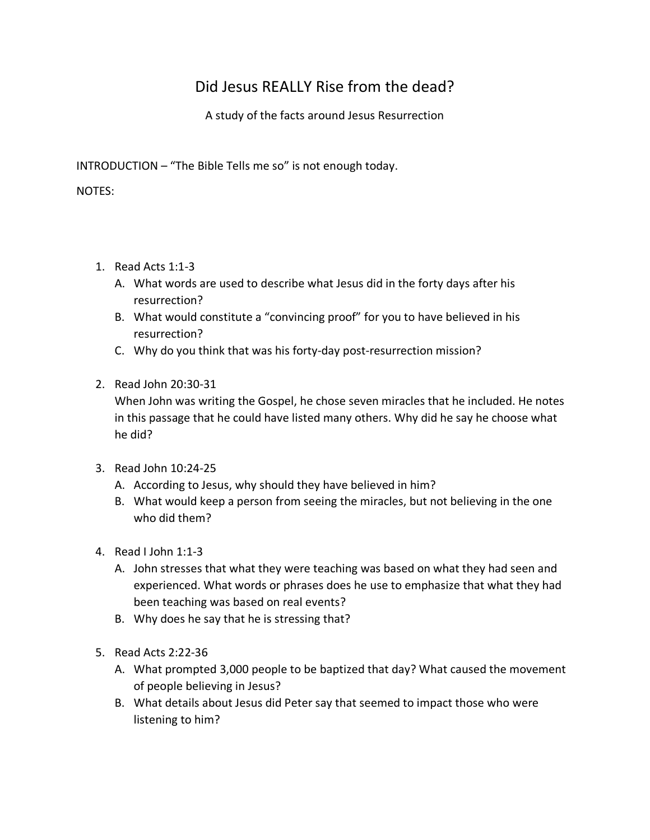## Did Jesus REALLY Rise from the dead?

A study of the facts around Jesus Resurrection

INTRODUCTION – "The Bible Tells me so" is not enough today.

NOTES:

- 1. Read Acts 1:1-3
	- A. What words are used to describe what Jesus did in the forty days after his resurrection?
	- B. What would constitute a "convincing proof" for you to have believed in his resurrection?
	- C. Why do you think that was his forty-day post-resurrection mission?
- 2. Read John 20:30-31

When John was writing the Gospel, he chose seven miracles that he included. He notes in this passage that he could have listed many others. Why did he say he choose what he did?

- 3. Read John 10:24-25
	- A. According to Jesus, why should they have believed in him?
	- B. What would keep a person from seeing the miracles, but not believing in the one who did them?
- 4. Read I John 1:1-3
	- A. John stresses that what they were teaching was based on what they had seen and experienced. What words or phrases does he use to emphasize that what they had been teaching was based on real events?
	- B. Why does he say that he is stressing that?
- 5. Read Acts 2:22-36
	- A. What prompted 3,000 people to be baptized that day? What caused the movement of people believing in Jesus?
	- B. What details about Jesus did Peter say that seemed to impact those who were listening to him?